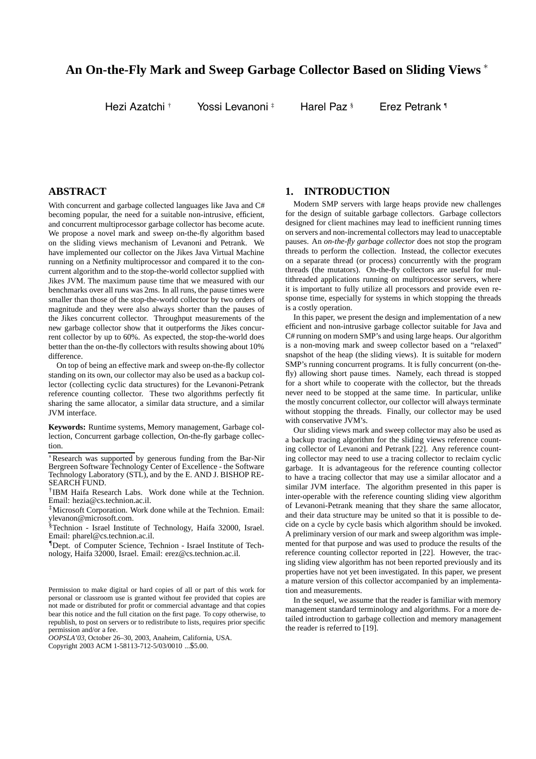# **An On-the-Fly Mark and Sweep Garbage Collector Based on Sliding Views**

Hezi Azatchi † Yossi Levanoni ‡ Harel Paz § Frez Petrank ¶

## **ABSTRACT**

With concurrent and garbage collected languages like Java and C# becoming popular, the need for a suitable non-intrusive, efficient, and concurrent multiprocessor garbage collector has become acute. We propose a novel mark and sweep on-the-fly algorithm based on the sliding views mechanism of Levanoni and Petrank. We have implemented our collector on the Jikes Java Virtual Machine running on a Netfinity multiprocessor and compared it to the concurrent algorithm and to the stop-the-world collector supplied with Jikes JVM. The maximum pause time that we measured with our benchmarks over all runs was 2ms. In all runs, the pause times were smaller than those of the stop-the-world collector by two orders of magnitude and they were also always shorter than the pauses of the Jikes concurrent collector. Throughput measurements of the new garbage collector show that it outperforms the Jikes concurrent collector by up to 60%. As expected, the stop-the-world does better than the on-the-fly collectors with results showing about 10% difference.

On top of being an effective mark and sweep on-the-fly collector standing on its own, our collector may also be used as a backup collector (collecting cyclic data structures) for the Levanoni-Petrank reference counting collector. These two algorithms perfectly fit sharing the same allocator, a similar data structure, and a similar JVM interface.

**Keywords:** Runtime systems, Memory management, Garbage collection, Concurrent garbage collection, On-the-fly garbage collection.

§Technion - Israel Institute of Technology, Haifa 32000, Israel. Email: pharel@cs.technion.ac.il.

¶Dept. of Computer Science, Technion - Israel Institute of Technology, Haifa 32000, Israel. Email: erez@cs.technion.ac.il.

*OOPSLA'03,* October 26–30, 2003, Anaheim, California, USA. Copyright 2003 ACM 1-58113-712-5/03/0010 ...\$5.00.

## **1. INTRODUCTION**

Modern SMP servers with large heaps provide new challenges for the design of suitable garbage collectors. Garbage collectors designed for client machines may lead to inefficient running times on servers and non-incremental collectors may lead to unacceptable pauses. An *on-the-fly garbage collector* does not stop the program threads to perform the collection. Instead, the collector executes on a separate thread (or process) concurrently with the program threads (the mutators). On-the-fly collectors are useful for multithreaded applications running on multiprocessor servers, where it is important to fully utilize all processors and provide even response time, especially for systems in which stopping the threads is a costly operation.

In this paper, we present the design and implementation of a new efficient and non-intrusive garbage collector suitable for Java and C# running on modern SMP's and using large heaps. Our algorithm is a non-moving mark and sweep collector based on a "relaxed" snapshot of the heap (the sliding views). It is suitable for modern SMP's running concurrent programs. It is fully concurrent (on-thefly) allowing short pause times. Namely, each thread is stopped for a short while to cooperate with the collector, but the threads never need to be stopped at the same time. In particular, unlike the mostly concurrent collector, our collector will always terminate without stopping the threads. Finally, our collector may be used with conservative JVM's.

Our sliding views mark and sweep collector may also be used as a backup tracing algorithm for the sliding views reference counting collector of Levanoni and Petrank [22]. Any reference counting collector may need to use a tracing collector to reclaim cyclic garbage. It is advantageous for the reference counting collector to have a tracing collector that may use a similar allocator and a similar JVM interface. The algorithm presented in this paper is inter-operable with the reference counting sliding view algorithm of Levanoni-Petrank meaning that they share the same allocator, and their data structure may be united so that it is possible to decide on a cycle by cycle basis which algorithm should be invoked. A preliminary version of our mark and sweep algorithm was implemented for that purpose and was used to produce the results of the reference counting collector reported in [22]. However, the tracing sliding view algorithm has not been reported previously and its properties have not yet been investigated. In this paper, we present a mature version of this collector accompanied by an implementation and measurements.

In the sequel, we assume that the reader is familiar with memory management standard terminology and algorithms. For a more detailed introduction to garbage collection and memory management the reader is referred to [19].

Research was supported by generous funding from the Bar-Nir Bergreen Software Technology Center of Excellence - the Software Technology Laboratory (STL), and by the E. AND J. BISHOP RE-SEARCH FUND.

<sup>†</sup>IBM Haifa Research Labs. Work done while at the Technion. Email: hezia@cs.technion.ac.il.

<sup>‡</sup>Microsoft Corporation. Work done while at the Technion. Email: ylevanon@microsoft.com.

Permission to make digital or hard copies of all or part of this work for personal or classroom use is granted without fee provided that copies are not made or distributed for profit or commercial advantage and that copies bear this notice and the full citation on the first page. To copy otherwise, to republish, to post on servers or to redistribute to lists, requires prior specific permission and/or a fee.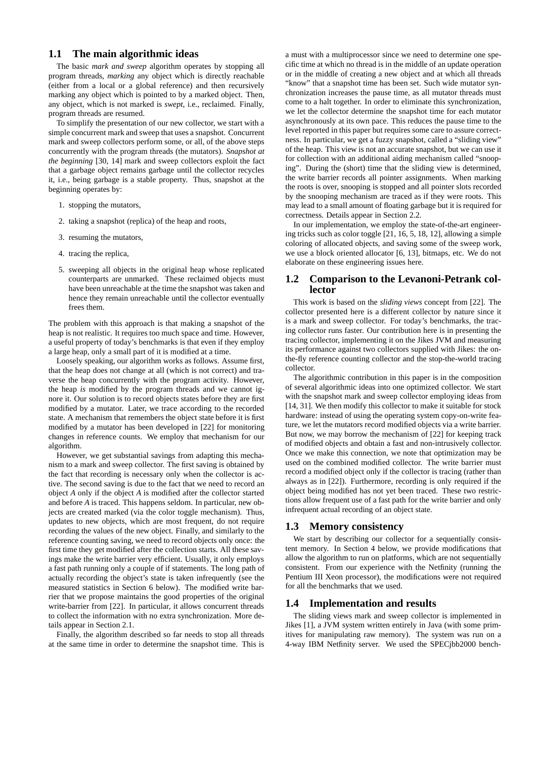## **1.1 The main algorithmic ideas**

The basic *mark and sweep* algorithm operates by stopping all program threads, *marking* any object which is directly reachable (either from a local or a global reference) and then recursively marking any object which is pointed to by a marked object. Then, any object, which is not marked is *swept*, i.e., reclaimed. Finally, program threads are resumed.

To simplify the presentation of our new collector, we start with a simple concurrent mark and sweep that uses a snapshot. Concurrent mark and sweep collectors perform some, or all, of the above steps concurrently with the program threads (the mutators). *Snapshot at the beginning* [30, 14] mark and sweep collectors exploit the fact that a garbage object remains garbage until the collector recycles it, i.e., being garbage is a stable property. Thus, snapshot at the beginning operates by:

- 1. stopping the mutators,
- 2. taking a snapshot (replica) of the heap and roots,
- 3. resuming the mutators,
- 4. tracing the replica,
- 5. sweeping all objects in the original heap whose replicated counterparts are unmarked. These reclaimed objects must have been unreachable at the time the snapshot was taken and hence they remain unreachable until the collector eventually frees them.

The problem with this approach is that making a snapshot of the heap is not realistic. It requires too much space and time. However, a useful property of today's benchmarks is that even if they employ a large heap, only a small part of it is modified at a time.

Loosely speaking, our algorithm works as follows. Assume first, that the heap does not change at all (which is not correct) and traverse the heap concurrently with the program activity. However, the heap *is* modified by the program threads and we cannot ignore it. Our solution is to record objects states before they are first modified by a mutator. Later, we trace according to the recorded state. A mechanism that remembers the object state before it is first modified by a mutator has been developed in [22] for monitoring changes in reference counts. We employ that mechanism for our algorithm.

However, we get substantial savings from adapting this mechanism to a mark and sweep collector. The first saving is obtained by the fact that recording is necessary only when the collector is active. The second saving is due to the fact that we need to record an object *A* only if the object *A* is modified after the collector started and before *A* is traced. This happens seldom. In particular, new objects are created marked (via the color toggle mechanism). Thus, updates to new objects, which are most frequent, do not require recording the values of the new object. Finally, and similarly to the reference counting saving, we need to record objects only once: the first time they get modified after the collection starts. All these savings make the write barrier very efficient. Usually, it only employs a fast path running only a couple of if statements. The long path of actually recording the object's state is taken infrequently (see the measured statistics in Section 6 below). The modified write barrier that we propose maintains the good properties of the original write-barrier from [22]. In particular, it allows concurrent threads to collect the information with no extra synchronization. More details appear in Section 2.1.

Finally, the algorithm described so far needs to stop all threads at the same time in order to determine the snapshot time. This is

a must with a multiprocessor since we need to determine one specific time at which no thread is in the middle of an update operation or in the middle of creating a new object and at which all threads "know" that a snapshot time has been set. Such wide mutator synchronization increases the pause time, as all mutator threads must come to a halt together. In order to eliminate this synchronization, we let the collector determine the snapshot time for each mutator asynchronously at its own pace. This reduces the pause time to the level reported in this paper but requires some care to assure correctness. In particular, we get a fuzzy snapshot, called a "sliding view" of the heap. This view is not an accurate snapshot, but we can use it for collection with an additional aiding mechanism called "snooping". During the (short) time that the sliding view is determined, the write barrier records all pointer assignments. When marking the roots is over, snooping is stopped and all pointer slots recorded by the snooping mechanism are traced as if they were roots. This may lead to a small amount of floating garbage but it is required for correctness. Details appear in Section 2.2.

In our implementation, we employ the state-of-the-art engineering tricks such as color toggle [21, 16, 5, 18, 12], allowing a simple coloring of allocated objects, and saving some of the sweep work, we use a block oriented allocator [6, 13], bitmaps, etc. We do not elaborate on these engineering issues here.

### **1.2 Comparison to the Levanoni-Petrank collector**

This work is based on the *sliding views* concept from [22]. The collector presented here is a different collector by nature since it is a mark and sweep collector. For today's benchmarks, the tracing collector runs faster. Our contribution here is in presenting the tracing collector, implementing it on the Jikes JVM and measuring its performance against two collectors supplied with Jikes: the onthe-fly reference counting collector and the stop-the-world tracing collector.

The algorithmic contribution in this paper is in the composition of several algorithmic ideas into one optimized collector. We start with the snapshot mark and sweep collector employing ideas from [14, 31]. We then modify this collector to make it suitable for stock hardware: instead of using the operating system copy-on-write feature, we let the mutators record modified objects via a write barrier. But now, we may borrow the mechanism of [22] for keeping track of modified objects and obtain a fast and non-intrusively collector. Once we make this connection, we note that optimization may be used on the combined modified collector. The write barrier must record a modified object only if the collector is tracing (rather than always as in [22]). Furthermore, recording is only required if the object being modified has not yet been traced. These two restrictions allow frequent use of a fast path for the write barrier and only infrequent actual recording of an object state.

## **1.3 Memory consistency**

We start by describing our collector for a sequentially consistent memory. In Section 4 below, we provide modifications that allow the algorithm to run on platforms, which are not sequentially consistent. From our experience with the Netfinity (running the Pentium III Xeon processor), the modifications were not required for all the benchmarks that we used.

#### **1.4 Implementation and results**

The sliding views mark and sweep collector is implemented in Jikes [1], a JVM system written entirely in Java (with some primitives for manipulating raw memory). The system was run on a 4-way IBM Netfinity server. We used the SPECjbb2000 bench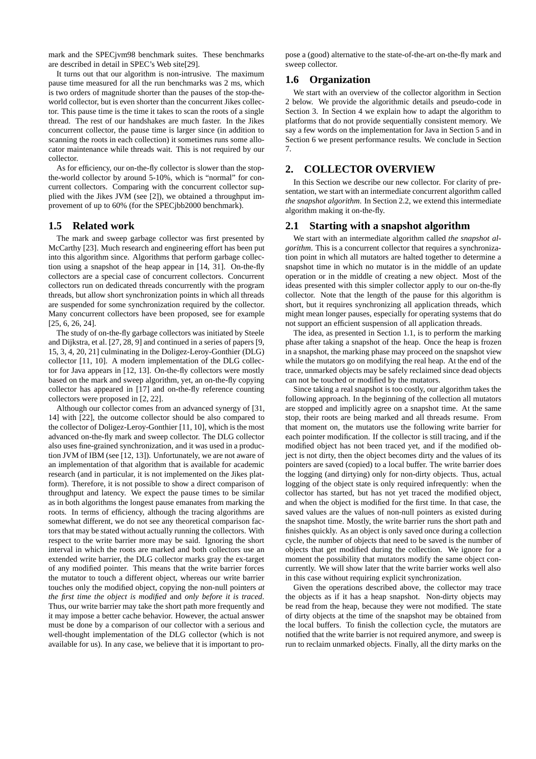mark and the SPECjvm98 benchmark suites. These benchmarks are described in detail in SPEC's Web site[29].

It turns out that our algorithm is non-intrusive. The maximum pause time measured for all the run benchmarks was 2 ms, which is two orders of magnitude shorter than the pauses of the stop-theworld collector, but is even shorter than the concurrent Jikes collector. This pause time is the time it takes to scan the roots of a single thread. The rest of our handshakes are much faster. In the Jikes concurrent collector, the pause time is larger since (in addition to scanning the roots in each collection) it sometimes runs some allocator maintenance while threads wait. This is not required by our collector.

As for efficiency, our on-the-fly collector is slower than the stopthe-world collector by around 5-10%, which is "normal" for concurrent collectors. Comparing with the concurrent collector supplied with the Jikes JVM (see [2]), we obtained a throughput improvement of up to 60% (for the SPECjbb2000 benchmark).

### **1.5 Related work**

The mark and sweep garbage collector was first presented by McCarthy [23]. Much research and engineering effort has been put into this algorithm since. Algorithms that perform garbage collection using a snapshot of the heap appear in [14, 31]. On-the-fly collectors are a special case of concurrent collectors. Concurrent collectors run on dedicated threads concurrently with the program threads, but allow short synchronization points in which all threads are suspended for some synchronization required by the collector. Many concurrent collectors have been proposed, see for example [25, 6, 26, 24].

The study of on-the-fly garbage collectors was initiated by Steele and Dijkstra, et al. [27, 28, 9] and continued in a series of papers [9, 15, 3, 4, 20, 21] culminating in the Doligez-Leroy-Gonthier (DLG) collector [11, 10]. A modern implementation of the DLG collector for Java appears in [12, 13]. On-the-fly collectors were mostly based on the mark and sweep algorithm, yet, an on-the-fly copying collector has appeared in [17] and on-the-fly reference counting collectors were proposed in [2, 22].

Although our collector comes from an advanced synergy of [31, 14] with [22], the outcome collector should be also compared to the collector of Doligez-Leroy-Gonthier [11, 10], which is the most advanced on-the-fly mark and sweep collector. The DLG collector also uses fine-grained synchronization, and it was used in a production JVM of IBM (see [12, 13]). Unfortunately, we are not aware of an implementation of that algorithm that is available for academic research (and in particular, it is not implemented on the Jikes platform). Therefore, it is not possible to show a direct comparison of throughput and latency. We expect the pause times to be similar as in both algorithms the longest pause emanates from marking the roots. In terms of efficiency, although the tracing algorithms are somewhat different, we do not see any theoretical comparison factors that may be stated without actually running the collectors. With respect to the write barrier more may be said. Ignoring the short interval in which the roots are marked and both collectors use an extended write barrier, the DLG collector marks gray the ex-target of any modified pointer. This means that the write barrier forces the mutator to touch a different object, whereas our write barrier touches only the modified object, copying the non-null pointers *at the first time the object is modified* and *only before it is traced*. Thus, our write barrier may take the short path more frequently and it may impose a better cache behavior. However, the actual answer must be done by a comparison of our collector with a serious and well-thought implementation of the DLG collector (which is not available for us). In any case, we believe that it is important to pro-

pose a (good) alternative to the state-of-the-art on-the-fly mark and sweep collector.

## **1.6 Organization**

We start with an overview of the collector algorithm in Section 2 below. We provide the algorithmic details and pseudo-code in Section 3. In Section 4 we explain how to adapt the algorithm to platforms that do not provide sequentially consistent memory. We say a few words on the implementation for Java in Section 5 and in Section 6 we present performance results. We conclude in Section 7.

## **2. COLLECTOR OVERVIEW**

In this Section we describe our new collector. For clarity of presentation, we start with an intermediate concurrent algorithm called *the snapshot algorithm*. In Section 2.2, we extend this intermediate algorithm making it on-the-fly.

## **2.1 Starting with a snapshot algorithm**

We start with an intermediate algorithm called *the snapshot algorithm*. This is a concurrent collector that requires a synchronization point in which all mutators are halted together to determine a snapshot time in which no mutator is in the middle of an update operation or in the middle of creating a new object. Most of the ideas presented with this simpler collector apply to our on-the-fly collector. Note that the length of the pause for this algorithm is short, but it requires synchronizing all application threads, which might mean longer pauses, especially for operating systems that do not support an efficient suspension of all application threads.

The idea, as presented in Section 1.1, is to perform the marking phase after taking a snapshot of the heap. Once the heap is frozen in a snapshot, the marking phase may proceed on the snapshot view while the mutators go on modifying the real heap. At the end of the trace, unmarked objects may be safely reclaimed since dead objects can not be touched or modified by the mutators.

Since taking a real snapshot is too costly, our algorithm takes the following approach. In the beginning of the collection all mutators are stopped and implicitly agree on a snapshot time. At the same stop, their roots are being marked and all threads resume. From that moment on, the mutators use the following write barrier for each pointer modification. If the collector is still tracing, and if the modified object has not been traced yet, and if the modified object is not dirty, then the object becomes dirty and the values of its pointers are saved (copied) to a local buffer. The write barrier does the logging (and dirtying) only for non-dirty objects. Thus, actual logging of the object state is only required infrequently: when the collector has started, but has not yet traced the modified object, and when the object is modified for the first time. In that case, the saved values are the values of non-null pointers as existed during the snapshot time. Mostly, the write barrier runs the short path and finishes quickly. As an object is only saved once during a collection cycle, the number of objects that need to be saved is the number of objects that get modified during the collection. We ignore for a moment the possibility that mutators modify the same object concurrently. We will show later that the write barrier works well also in this case without requiring explicit synchronization.

Given the operations described above, the collector may trace the objects as if it has a heap snapshot. Non-dirty objects may be read from the heap, because they were not modified. The state of dirty objects at the time of the snapshot may be obtained from the local buffers. To finish the collection cycle, the mutators are notified that the write barrier is not required anymore, and sweep is run to reclaim unmarked objects. Finally, all the dirty marks on the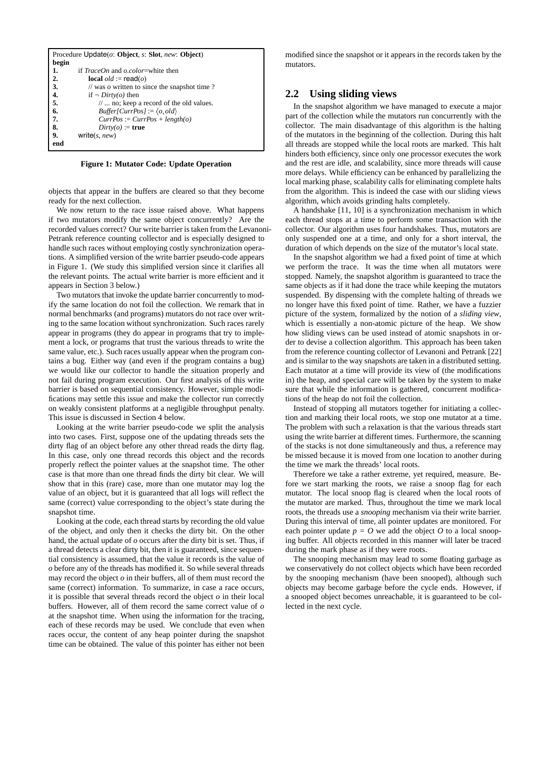|                  | Procedure $Update(o: Object, s: Slot, new: Object)$ |
|------------------|-----------------------------------------------------|
| begin            |                                                     |
| 1.               | if $TraceOn$ and $o.color$ =white then              |
| $\overline{2}$ . | <b>local</b> $old := read(o)$                       |
| 3.               | // was $o$ written to since the snapshot time?      |
| $\frac{4}{5}$    | if $-Dirtv(o)$ then                                 |
|                  | $\mathcal{U}$ no; keep a record of the old values.  |
| 6.               | $Buffer[CurrentPos] := \langle o, old \rangle$      |
| 7.               | $CurrPos := CurrPos + length(o)$                    |
| 8.               | $Diriv(o) := true$                                  |
| 9.               | write(s, new)                                       |
| end              |                                                     |

**Figure 1: Mutator Code: Update Operation**

objects that appear in the buffers are cleared so that they become ready for the next collection.

We now return to the race issue raised above. What happens if two mutators modify the same object concurrently? Are the recorded values correct? Our write barrier is taken from the Levanoni-Petrank reference counting collector and is especially designed to handle such races without employing costly synchronization operations. A simplified version of the write barrier pseudo-code appears in Figure 1. (We study this simplified version since it clarifies all the relevant points. The actual write barrier is more efficient and it appears in Section 3 below.)

Two mutators that invoke the update barrier concurrently to modify the same location do not foil the collection. We remark that in normal benchmarks (and programs) mutators do not race over writing to the same location without synchronization. Such races rarely appear in programs (they do appear in programs that try to implement a lock, or programs that trust the various threads to write the same value, etc.). Such races usually appear when the program contains a bug. Either way (and even if the program contains a bug) we would like our collector to handle the situation properly and not fail during program execution. Our first analysis of this write barrier is based on sequential consistency. However, simple modifications may settle this issue and make the collector run correctly on weakly consistent platforms at a negligible throughput penalty. This issue is discussed in Section 4 below.

Looking at the write barrier pseudo-code we split the analysis into two cases. First, suppose one of the updating threads sets the dirty flag of an object before any other thread reads the dirty flag. In this case, only one thread records this object and the records properly reflect the pointer values at the snapshot time. The other case is that more than one thread finds the dirty bit clear. We will show that in this (rare) case, more than one mutator may log the value of an object, but it is guaranteed that all logs will reflect the same (correct) value corresponding to the object's state during the snapshot time.

Looking at the code, each thread starts by recording the old value of the object, and only then it checks the dirty bit. On the other hand, the actual update of *o* occurs after the dirty bit is set. Thus, if a thread detects a clear dirty bit, then it is guaranteed, since sequential consistency is assumed, that the value it records is the value of *o* before any of the threads has modified it. So while several threads may record the object  $\rho$  in their buffers, all of them must record the same (correct) information. To summarize, in case a race occurs, it is possible that several threads record the object  $o$  in their local buffers. However, all of them record the same correct value of *o* at the snapshot time. When using the information for the tracing, each of these records may be used. We conclude that even when races occur, the content of any heap pointer during the snapshot time can be obtained. The value of this pointer has either not been

modified since the snapshot or it appears in the records taken by the mutators.

## **2.2 Using sliding views**

In the snapshot algorithm we have managed to execute a major part of the collection while the mutators run concurrently with the collector. The main disadvantage of this algorithm is the halting of the mutators in the beginning of the collection. During this halt all threads are stopped while the local roots are marked. This halt hinders both efficiency, since only one processor executes the work and the rest are idle, and scalability, since more threads will cause more delays. While efficiency can be enhanced by parallelizing the local marking phase, scalability calls for eliminating complete halts from the algorithm. This is indeed the case with our sliding views algorithm, which avoids grinding halts completely.

A handshake [11, 10] is a synchronization mechanism in which each thread stops at a time to perform some transaction with the collector. Our algorithm uses four handshakes. Thus, mutators are only suspended one at a time, and only for a short interval, the duration of which depends on the size of the mutator's local state.

In the snapshot algorithm we had a fixed point of time at which we perform the trace. It was the time when all mutators were stopped. Namely, the snapshot algorithm is guaranteed to trace the same objects as if it had done the trace while keeping the mutators suspended. By dispensing with the complete halting of threads we no longer have this fixed point of time. Rather, we have a fuzzier picture of the system, formalized by the notion of a *sliding view*, which is essentially a non-atomic picture of the heap. We show how sliding views can be used instead of atomic snapshots in order to devise a collection algorithm. This approach has been taken from the reference counting collector of Levanoni and Petrank [22] and is similar to the way snapshots are taken in a distributed setting. Each mutator at a time will provide its view of (the modifications in) the heap, and special care will be taken by the system to make sure that while the information is gathered, concurrent modifications of the heap do not foil the collection.

Instead of stopping all mutators together for initiating a collection and marking their local roots, we stop one mutator at a time. The problem with such a relaxation is that the various threads start using the write barrier at different times. Furthermore, the scanning of the stacks is not done simultaneously and thus, a reference may be missed because it is moved from one location to another during the time we mark the threads' local roots.

Therefore we take a rather extreme, yet required, measure. Before we start marking the roots, we raise a snoop flag for each mutator. The local snoop flag is cleared when the local roots of the mutator are marked. Thus, throughout the time we mark local roots, the threads use a *snooping* mechanism via their write barrier. During this interval of time, all pointer updates are monitored. For each pointer update  $p = 0$  we add the object O to a local snooping buffer. All objects recorded in this manner will later be traced during the mark phase as if they were roots.

The snooping mechanism may lead to some floating garbage as we conservatively do not collect objects which have been recorded by the snooping mechanism (have been snooped), although such objects may become garbage before the cycle ends. However, if a snooped object becomes unreachable, it is guaranteed to be collected in the next cycle.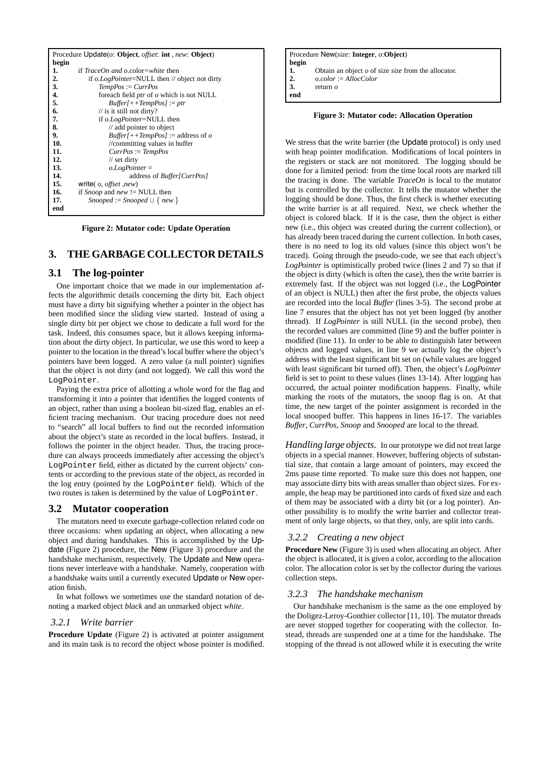|       | Procedure Update( $o$ : Object, <i>offset</i> : int, <i>new</i> : Object) |  |  |  |  |  |
|-------|---------------------------------------------------------------------------|--|--|--|--|--|
| begin |                                                                           |  |  |  |  |  |
| 1.    | if $TraceOn$ and $o$ color=white then                                     |  |  |  |  |  |
| 2.    | if <i>o.LogPointer</i> =NULL then // object not dirty                     |  |  |  |  |  |
| 3.    | $TempPos := CurrPos$                                                      |  |  |  |  |  |
| 4.    | for each field ptr of $o$ which is not NULL                               |  |  |  |  |  |
| 5.    | $Buffer[++TempPos] := ptr$                                                |  |  |  |  |  |
| 6.    | $\frac{1}{10}$ is it still not dirty?                                     |  |  |  |  |  |
| 7.    | if <i>o.LogPointer</i> =NULL then                                         |  |  |  |  |  |
| 8.    | // add pointer to object                                                  |  |  |  |  |  |
| 9.    | $Buffer/++TempPos] := address of o$                                       |  |  |  |  |  |
| 10.   | //committing values in buffer                                             |  |  |  |  |  |
| 11.   | $CurrPos := TempPos$                                                      |  |  |  |  |  |
| 12.   | $\frac{1}{\sqrt{2}}$ set dirty                                            |  |  |  |  |  |
| 13.   | $o. LogPointer =$                                                         |  |  |  |  |  |
| 14.   | address of <i>Buffer[CurrPos]</i>                                         |  |  |  |  |  |
| 15.   | write( $o$ , <i>offset</i> , <i>new</i> )                                 |  |  |  |  |  |
| 16.   | if <i>Snoop</i> and <i>new</i> != NULL then                               |  |  |  |  |  |
| 17.   | $Snooped := Snooped \cup \{ new\}$                                        |  |  |  |  |  |
| end   |                                                                           |  |  |  |  |  |

**Figure 2: Mutator code: Update Operation**

## **3. THE GARBAGE COLLECTOR DETAILS**

### **3.1 The log-pointer**

One important choice that we made in our implementation affects the algorithmic details concerning the dirty bit. Each object must have a dirty bit signifying whether a pointer in the object has been modified since the sliding view started. Instead of using a single dirty bit per object we chose to dedicate a full word for the task. Indeed, this consumes space, but it allows keeping information about the dirty object. In particular, we use this word to keep a pointer to the location in the thread's local buffer where the object's pointers have been logged. A zero value (a null pointer) signifies that the object is not dirty (and not logged). We call this word the LogPointer.

Paying the extra price of allotting a whole word for the flag and transforming it into a pointer that identifies the logged contents of an object, rather than using a boolean bit-sized flag, enables an efficient tracing mechanism. Our tracing procedure does not need to "search" all local buffers to find out the recorded information about the object's state as recorded in the local buffers. Instead, it follows the pointer in the object header. Thus, the tracing procedure can always proceeds immediately after accessing the object's LogPointer field, either as dictated by the current objects' contents or according to the previous state of the object, as recorded in the log entry (pointed by the LogPointer field). Which of the two routes is taken is determined by the value of LogPointer.

### **3.2 Mutator cooperation**

The mutators need to execute garbage-collection related code on three occasions: when updating an object, when allocating a new object and during handshakes. This is accomplished by the Update (Figure 2) procedure, the New (Figure 3) procedure and the handshake mechanism, respectively. The Update and New operations never interleave with a handshake. Namely, cooperation with a handshake waits until a currently executed Update or New operation finish.

In what follows we sometimes use the standard notation of denoting a marked object *black* and an unmarked object *white*.

#### *3.2.1 Write barrier*

**Procedure Update** (Figure 2) is activated at pointer assignment and its main task is to record the object whose pointer is modified.

Procedure New(*size*: **Integer**, *o*:**Object**) **begin 1.** Obtain an object *o* of size *size* from the allocator. **2.**  $o.color := AllocColor$ <br>**3.**  $return o$ **3.** return *o* **end**

**Figure 3: Mutator code: Allocation Operation**

We stress that the write barrier (the Update protocol) is only used with heap pointer modification. Modifications of local pointers in the registers or stack are not monitored. The logging should be done for a limited period: from the time local roots are marked till the tracing is done. The variable *TraceOn* is local to the mutator but is controlled by the collector. It tells the mutator whether the logging should be done. Thus, the first check is whether executing the write barrier is at all required. Next, we check whether the object is colored black. If it is the case, then the object is either new (i.e., this object was created during the current collection), or has already been traced during the current collection. In both cases, there is no need to log its old values (since this object won't be traced). Going through the pseudo-code, we see that each object's *LogPointer* is optimistically probed twice (lines 2 and 7) so that if the object is dirty (which is often the case), then the write barrier is extremely fast. If the object was not logged (i.e., the LogPointer of an object is NULL) then after the first probe, the objects values are recorded into the local *Buffer* (lines 3-5). The second probe at line 7 ensures that the object has not yet been logged (by another thread). If *LogPointer* is still NULL (in the second probe), then the recorded values are committed (line 9) and the buffer pointer is modified (line 11). In order to be able to distinguish later between objects and logged values, in line 9 we actually log the object's address with the least significant bit set on (while values are logged with least significant bit turned off). Then, the object's *LogPointer* field is set to point to these values (lines 13-14). After logging has occurred, the actual pointer modification happens. Finally, while marking the roots of the mutators, the snoop flag is on. At that time, the new target of the pointer assignment is recorded in the local snooped buffer. This happens in lines 16-17. The variables *Buffer*, *CurrPos*, *Snoop* and *Snooped* are local to the thread.

*Handling large objects.* In our prototype we did not treat large objects in a special manner. However, buffering objects of substantial size, that contain a large amount of pointers, may exceed the 2ms pause time reported. To make sure this does not happen, one may associate dirty bits with areas smaller than object sizes. For example, the heap may be partitioned into cards of fixed size and each of them may be associated with a dirty bit (or a log pointer). Another possibility is to modify the write barrier and collector treatment of only large objects, so that they, only, are split into cards.

### *3.2.2 Creating a new object*

**Procedure New** (Figure 3) is used when allocating an object. After the object is allocated, it is given a color, according to the allocation color. The allocation color is set by the collector during the various collection steps.

#### *3.2.3 The handshake mechanism*

Our handshake mechanism is the same as the one employed by the Doligez-Leroy-Gonthier collector [11, 10]. The mutator threads are never stopped together for cooperating with the collector. Instead, threads are suspended one at a time for the handshake. The stopping of the thread is not allowed while it is executing the write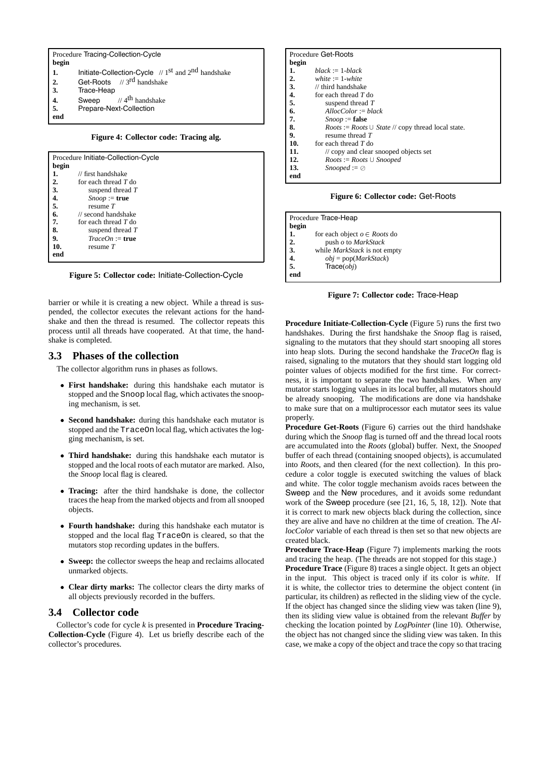```
Procedure Tracing-Collection-Cycle
begin
1. Initiate-Collection-Cycle // 1<sup>st</sup> and 2<sup>nd</sup> handshake
2. Get-Roots // 3<sup>rd</sup> handshake<br>3. Trace-Heap
           3. Trace-Heap
4. Sweep // 4<sup>th</sup> handshake<br>5. Prepare-Next-Collection
           5. Prepare-Next-Collection
end
```
**Figure 4: Collector code: Tracing alg.**

|       | Procedure Initiate-Collection-Cycle |
|-------|-------------------------------------|
| begin |                                     |
| 1.    | // first handshake                  |
| 2.    | for each thread $T$ do              |
| 3.    | suspend thread T                    |
| 4.    | $S_{\text{hoop}}$ := true           |
| 5.    | resume $T$                          |
| 6.    | // second handshake                 |
| 7.    | for each thread $T$ do              |
| 8.    | suspend thread T                    |
| 9.    | $TraceOn := true$                   |
| 10.   | resume $T$                          |
| end   |                                     |

**Figure 5: Collector code:** Initiate-Collection-Cycle

barrier or while it is creating a new object. While a thread is suspended, the collector executes the relevant actions for the handshake and then the thread is resumed. The collector repeats this process until all threads have cooperated. At that time, the handshake is completed.

### **3.3 Phases of the collection**

The collector algorithm runs in phases as follows.

- **First handshake:** during this handshake each mutator is stopped and the Snoop local flag, which activates the snooping mechanism, is set.
- **Second handshake:** during this handshake each mutator is stopped and the TraceOn local flag, which activates the logging mechanism, is set.
- **Third handshake:** during this handshake each mutator is stopped and the local roots of each mutator are marked. Also, the *Snoop* local flag is cleared.
- **Tracing:** after the third handshake is done, the collector traces the heap from the marked objects and from all snooped objects.
- **Fourth handshake:** during this handshake each mutator is stopped and the local flag TraceOn is cleared, so that the mutators stop recording updates in the buffers.
- **Sweep:** the collector sweeps the heap and reclaims allocated unmarked objects.
- **Clear dirty marks:** The collector clears the dirty marks of all objects previously recorded in the buffers.

### **3.4 Collector code**

Collector's code for cycle *k* is presented in **Procedure Tracing-Collection-Cycle** (Figure 4). Let us briefly describe each of the collector's procedures.

|       | Procedure Get-Roots                                             |
|-------|-----------------------------------------------------------------|
|       |                                                                 |
| begin |                                                                 |
| 1.    | $black := 1$ -black                                             |
| 2.    | white $:= 1$ -white                                             |
| 3.    | // third handshake                                              |
| 4.    | for each thread $T$ do                                          |
| 5.    | suspend thread T                                                |
| 6.    | $A llocColor := black$                                          |
| 7.    | $S_{\text{hoop}}$ := false                                      |
| 8.    | $Roots := Roots \cup State \text{ // copy thread local state.}$ |
| 9.    | resume thread $T$                                               |
| 10.   | for each thread $T$ do                                          |
| 11.   | // copy and clear snooped objects set                           |
| 12.   | $Roots := Roots \cup Snooped$                                   |
| 13.   | $S$ <i>nooped</i> := $\oslash$                                  |
| end   |                                                                 |

**Figure 6: Collector code:** Get-Roots

|               | Procedure Trace-Heap                |
|---------------|-------------------------------------|
| begin         |                                     |
| -1.           | for each object $o \in Roots$ do    |
| 2.            | push o to MarkStack                 |
| 3.            | while <i>MarkStack</i> is not empty |
| $\frac{4}{5}$ | $obj = pop(MarkStack)$              |
|               | Trace(obj)                          |
| end           |                                     |

**Figure 7: Collector code:** Trace-Heap

**Procedure Initiate-Collection-Cycle** (Figure 5) runs the first two handshakes. During the first handshake the *Snoop* flag is raised, signaling to the mutators that they should start snooping all stores into heap slots. During the second handshake the *TraceOn* flag is raised, signaling to the mutators that they should start logging old pointer values of objects modified for the first time. For correctness, it is important to separate the two handshakes. When any mutator starts logging values in its local buffer, all mutators should be already snooping. The modifications are done via handshake to make sure that on a multiprocessor each mutator sees its value properly.

**Procedure Get-Roots** (Figure 6) carries out the third handshake during which the *Snoop* flag is turned off and the thread local roots are accumulated into the *Roots* (global) buffer. Next, the *Snooped* buffer of each thread (containing snooped objects), is accumulated into *Roots*, and then cleared (for the next collection). In this procedure a color toggle is executed switching the values of black and white. The color toggle mechanism avoids races between the Sweep and the New procedures, and it avoids some redundant work of the Sweep procedure (see [21, 16, 5, 18, 12]). Note that it is correct to mark new objects black during the collection, since they are alive and have no children at the time of creation. The *AllocColor* variable of each thread is then set so that new objects are created black.

**Procedure Trace-Heap** (Figure 7) implements marking the roots and tracing the heap. (The threads are not stopped for this stage.)

**Procedure Trace** (Figure 8) traces a single object. It gets an object in the input. This object is traced only if its color is *white*. If it is white, the collector tries to determine the object content (in particular, its children) as reflected in the sliding view of the cycle. If the object has changed since the sliding view was taken (line 9), then its sliding view value is obtained from the relevant *Buffer* by checking the location pointed by *LogPointer* (line 10). Otherwise, the object has not changed since the sliding view was taken. In this case, we make a copy of the object and trace the copy so that tracing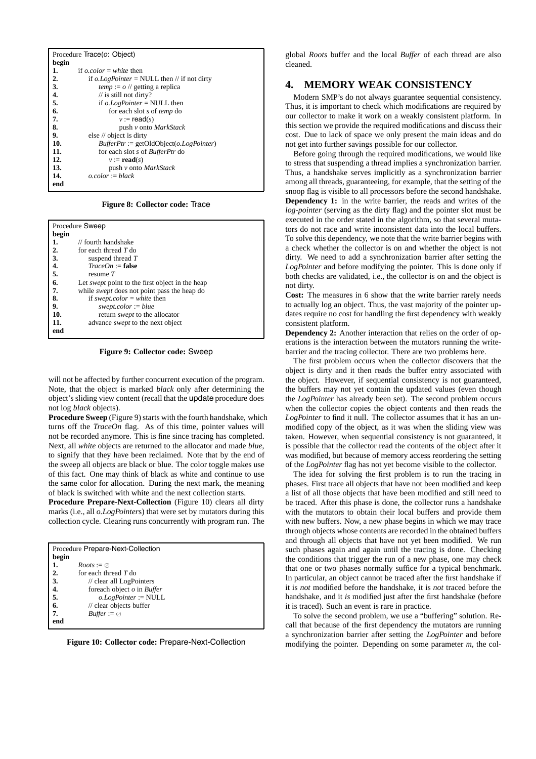|               | Procedure Trace(o: Object)                         |
|---------------|----------------------------------------------------|
| begin         |                                                    |
| 1.            | if <i>o.color</i> = white then                     |
| $\frac{2}{3}$ | if <i>o.LogPointer</i> = NULL then // if not dirty |
|               | <i>temp</i> := $o$ // getting a replica            |
| $\frac{4}{5}$ | $\frac{1}{10}$ is still not dirty?                 |
|               | if $o. LogPointer = NULL$ then                     |
| 6.            | for each slot s of temp do                         |
| 7.            | $v := \text{read}(s)$                              |
| 8.            | push v onto MarkStack                              |
| 9.            | else // object is dirty                            |
| 10.           | $BufferPtr := getOldObject(o.LogPointer)$          |
| 11.           | for each slot s of BufferPtr do                    |
| 12.           | $v := \text{read}(s)$                              |
| 13.           | push <i>v</i> onto <i>MarkStack</i>                |
| 14.           | $o_{\mathcal{L}}$ color := black                   |
| end           |                                                    |

#### **Figure 8: Collector code:** Trace

|               | Procedure Sweep                                        |
|---------------|--------------------------------------------------------|
| begin         |                                                        |
| 1.            | // fourth handshake                                    |
| 2.            | for each thread T do                                   |
| 3.            | suspend thread T                                       |
| $\frac{4}{5}$ | $TraceOn := false$                                     |
|               | resume $T$                                             |
| 6.            | Let <i>swept</i> point to the first object in the heap |
| 7.            | while <i>swept</i> does not point pass the heap do     |
| 8.            | if swept.color = white then                            |
| 9.            | $swept-color := blue$                                  |
| 10.           | return swept to the allocator                          |
| 11.           | advance <i>swept</i> to the next object                |
| end           |                                                        |
|               |                                                        |

**Figure 9: Collector code:** Sweep

will not be affected by further concurrent execution of the program. Note, that the object is marked *black* only after determining the object's sliding view content (recall that the update procedure does not log *black* objects).

**Procedure Sweep** (Figure 9) starts with the fourth handshake, which turns off the *TraceOn* flag. As of this time, pointer values will not be recorded anymore. This is fine since tracing has completed. Next, all *white* objects are returned to the allocator and made *blue*, to signify that they have been reclaimed. Note that by the end of the sweep all objects are black or blue. The color toggle makes use of this fact. One may think of black as white and continue to use the same color for allocation. During the next mark, the meaning of black is switched with white and the next collection starts.

**Procedure Prepare-Next-Collection** (Figure 10) clears all dirty marks (i.e., all *o.LogPointer*s) that were set by mutators during this collection cycle. Clearing runs concurrently with program run. The

|               | Procedure Prepare-Next-Collection   |
|---------------|-------------------------------------|
| begin         |                                     |
| 1.            | $Roots := \oslash$                  |
| 2.            | for each thread $T$ do              |
| 3.            | $\frac{1}{2}$ clear all LogPointers |
| $\frac{4}{5}$ | foreach object $o$ in Buffer        |
|               | $o. LogPointer := NULL$             |
| 6.            | // clear objects buffer             |
| 7.            | <i>Buffer</i> := $\oslash$          |
| end           |                                     |



global *Roots* buffer and the local *Buffer* of each thread are also cleaned.

## **4. MEMORY WEAK CONSISTENCY**

Modern SMP's do not always guarantee sequential consistency. Thus, it is important to check which modifications are required by our collector to make it work on a weakly consistent platform. In this section we provide the required modifications and discuss their cost. Due to lack of space we only present the main ideas and do not get into further savings possible for our collector.

Before going through the required modifications, we would like to stress that suspending a thread implies a synchronization barrier. Thus, a handshake serves implicitly as a synchronization barrier among all threads, guaranteeing, for example, that the setting of the snoop flag is visible to all processors before the second handshake. **Dependency 1:** in the write barrier, the reads and writes of the *log-pointer* (serving as the dirty flag) and the pointer slot must be executed in the order stated in the algorithm, so that several mutators do not race and write inconsistent data into the local buffers. To solve this dependency, we note that the write barrier begins with a check whether the collector is on and whether the object is not dirty. We need to add a synchronization barrier after setting the *LogPointer* and before modifying the pointer. This is done only if both checks are validated, i.e., the collector is on and the object is not dirty.

**Cost:** The measures in 6 show that the write barrier rarely needs to actually log an object. Thus, the vast majority of the pointer updates require no cost for handling the first dependency with weakly consistent platform.

**Dependency 2:** Another interaction that relies on the order of operations is the interaction between the mutators running the writebarrier and the tracing collector. There are two problems here.

The first problem occurs when the collector discovers that the object is dirty and it then reads the buffer entry associated with the object. However, if sequential consistency is not guaranteed, the buffers may not yet contain the updated values (even though the *LogPointer* has already been set). The second problem occurs when the collector copies the object contents and then reads the *LogPointer* to find it null. The collector assumes that it has an unmodified copy of the object, as it was when the sliding view was taken. However, when sequential consistency is not guaranteed, it is possible that the collector read the contents of the object after it was modified, but because of memory access reordering the setting of the *LogPointer* flag has not yet become visible to the collector.

The idea for solving the first problem is to run the tracing in phases. First trace all objects that have not been modified and keep a list of all those objects that have been modified and still need to be traced. After this phase is done, the collector runs a handshake with the mutators to obtain their local buffers and provide them with new buffers. Now, a new phase begins in which we may trace through objects whose contents are recorded in the obtained buffers and through all objects that have not yet been modified. We run such phases again and again until the tracing is done. Checking the conditions that trigger the run of a new phase, one may check that one or two phases normally suffice for a typical benchmark. In particular, an object cannot be traced after the first handshake if it is *not* modified before the handshake, it is *not* traced before the handshake, and it *is* modified just after the first handshake (before it is traced). Such an event is rare in practice.

To solve the second problem, we use a "buffering" solution. Recall that because of the first dependency the mutators are running a synchronization barrier after setting the *LogPointer* and before modifying the pointer. Depending on some parameter *m*, the col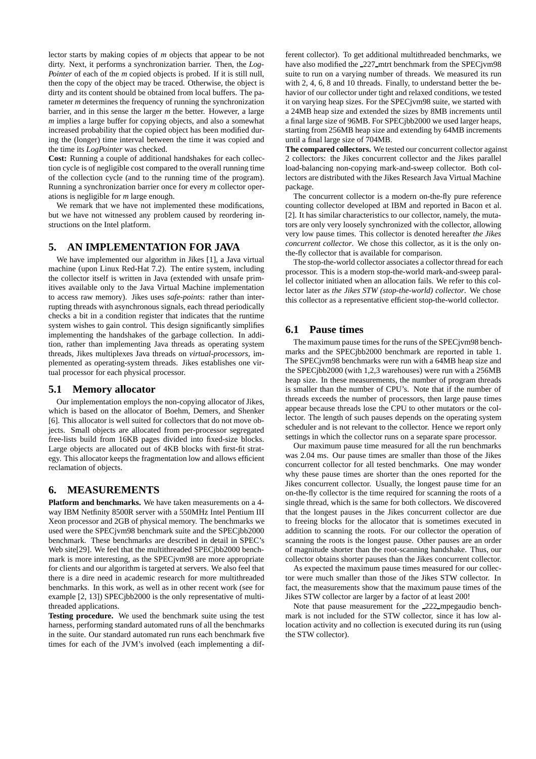lector starts by making copies of *m* objects that appear to be not dirty. Next, it performs a synchronization barrier. Then, the *Log-Pointer* of each of the *m* copied objects is probed. If it is still null, then the copy of the object may be traced. Otherwise, the object is dirty and its content should be obtained from local buffers. The parameter *m* determines the frequency of running the synchronization barrier, and in this sense the larger *m* the better. However, a large *m* implies a large buffer for copying objects, and also a somewhat increased probability that the copied object has been modified during the (longer) time interval between the time it was copied and the time its *LogPointer* was checked.

**Cost:** Running a couple of additional handshakes for each collection cycle is of negligible cost compared to the overall running time of the collection cycle (and to the running time of the program). Running a synchronization barrier once for every *m* collector operations is negligible for *m* large enough.

We remark that we have not implemented these modifications, but we have not witnessed any problem caused by reordering instructions on the Intel platform.

## **5. AN IMPLEMENTATION FOR JAVA**

We have implemented our algorithm in Jikes [1], a Java virtual machine (upon Linux Red-Hat 7.2). The entire system, including the collector itself is written in Java (extended with unsafe primitives available only to the Java Virtual Machine implementation to access raw memory). Jikes uses *safe-points*: rather than interrupting threads with asynchronous signals, each thread periodically checks a bit in a condition register that indicates that the runtime system wishes to gain control. This design significantly simplifies implementing the handshakes of the garbage collection. In addition, rather than implementing Java threads as operating system threads, Jikes multiplexes Java threads on *virtual-processors*, implemented as operating-system threads. Jikes establishes one virtual processor for each physical processor.

## **5.1 Memory allocator**

Our implementation employs the non-copying allocator of Jikes, which is based on the allocator of Boehm, Demers, and Shenker [6]. This allocator is well suited for collectors that do not move objects. Small objects are allocated from per-processor segregated free-lists build from 16KB pages divided into fixed-size blocks. Large objects are allocated out of 4KB blocks with first-fit strategy. This allocator keeps the fragmentation low and allows efficient reclamation of objects.

## **6. MEASUREMENTS**

**Platform and benchmarks.** We have taken measurements on a 4 way IBM Netfinity 8500R server with a 550MHz Intel Pentium III Xeon processor and 2GB of physical memory. The benchmarks we used were the SPECjvm98 benchmark suite and the SPECjbb2000 benchmark. These benchmarks are described in detail in SPEC's Web site[29]. We feel that the multithreaded SPECjbb2000 benchmark is more interesting, as the SPECjvm98 are more appropriate for clients and our algorithm is targeted at servers. We also feel that there is a dire need in academic research for more multithreaded benchmarks. In this work, as well as in other recent work (see for example [2, 13]) SPECjbb2000 is the only representative of multithreaded applications.

**Testing procedure.** We used the benchmark suite using the test harness, performing standard automated runs of all the benchmarks in the suite. Our standard automated run runs each benchmark five times for each of the JVM's involved (each implementing a dif-

ferent collector). To get additional multithreaded benchmarks, we have also modified the 227\_mtrt benchmark from the SPECjvm98 suite to run on a varying number of threads. We measured its run with 2, 4, 6, 8 and 10 threads. Finally, to understand better the behavior of our collector under tight and relaxed conditions, we tested it on varying heap sizes. For the SPECjvm98 suite, we started with a 24MB heap size and extended the sizes by 8MB increments until a final large size of 96MB. For SPECjbb2000 we used larger heaps, starting from 256MB heap size and extending by 64MB increments until a final large size of 704MB.

**The compared collectors.** We tested our concurrent collector against 2 collectors: the Jikes concurrent collector and the Jikes parallel load-balancing non-copying mark-and-sweep collector. Both collectors are distributed with the Jikes Research Java Virtual Machine package.

The concurrent collector is a modern on-the-fly pure reference counting collector developed at IBM and reported in Bacon et al. [2]. It has similar characteristics to our collector, namely, the mutators are only very loosely synchronized with the collector, allowing very low pause times. This collector is denoted hereafter *the Jikes concurrent collector*. We chose this collector, as it is the only onthe-fly collector that is available for comparison.

The stop-the-world collector associates a collector thread for each processor. This is a modern stop-the-world mark-and-sweep parallel collector initiated when an allocation fails. We refer to this collector later as *the Jikes STW (stop-the-world) collector*. We chose this collector as a representative efficient stop-the-world collector.

## **6.1 Pause times**

The maximum pause times for the runs of the SPECjvm98 benchmarks and the SPECjbb2000 benchmark are reported in table 1. The SPECjvm98 benchmarks were run with a 64MB heap size and the SPECjbb2000 (with 1,2,3 warehouses) were run with a 256MB heap size. In these measurements, the number of program threads is smaller than the number of CPU's. Note that if the number of threads exceeds the number of processors, then large pause times appear because threads lose the CPU to other mutators or the collector. The length of such pauses depends on the operating system scheduler and is not relevant to the collector. Hence we report only settings in which the collector runs on a separate spare processor.

Our maximum pause time measured for all the run benchmarks was 2.04 ms. Our pause times are smaller than those of the Jikes concurrent collector for all tested benchmarks. One may wonder why these pause times are shorter than the ones reported for the Jikes concurrent collector. Usually, the longest pause time for an on-the-fly collector is the time required for scanning the roots of a single thread, which is the same for both collectors. We discovered that the longest pauses in the Jikes concurrent collector are due to freeing blocks for the allocator that is sometimes executed in addition to scanning the roots. For our collector the operation of scanning the roots is the longest pause. Other pauses are an order of magnitude shorter than the root-scanning handshake. Thus, our collector obtains shorter pauses than the Jikes concurrent collector.

As expected the maximum pause times measured for our collector were much smaller than those of the Jikes STW collector. In fact, the measurements show that the maximum pause times of the Jikes STW collector are larger by a factor of at least 200!

Note that pause measurement for the 222 mpegaudio benchmark is not included for the STW collector, since it has low allocation activity and no collection is executed during its run (using the STW collector).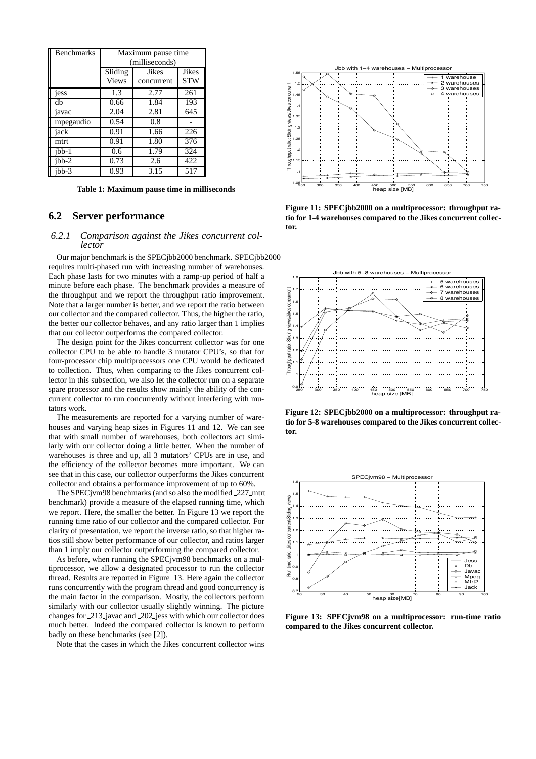| <b>Benchmarks</b> | Maximum pause time. |              |            |  |  |
|-------------------|---------------------|--------------|------------|--|--|
|                   | (milliseconds)      |              |            |  |  |
|                   | Sliding             | <b>Jikes</b> | Jikes      |  |  |
|                   | <b>Views</b>        | concurrent   | <b>STW</b> |  |  |
| jess              | 1.3                 | 2.77         | 261        |  |  |
| db                | 0.66                | 1.84         | 193        |  |  |
| javac             | 2.04                | 2.81         | 645        |  |  |
| mpegaudio         | 0.54                | 0.8          |            |  |  |
| jack              | 0.91                | 1.66         | 226        |  |  |
| mtrt              | 0.91                | 1.80         | 376        |  |  |
| $ibb-1$           | 0.6                 | 1.79         | 324        |  |  |
| $ibb-2$           | 0.73                | 2.6          | 422        |  |  |
| $ibb-3$           | 0.93                | 3.15         | 517        |  |  |

**Table 1: Maximum pause time in milliseconds**

## **6.2 Server performance**

## *6.2.1 Comparison against the Jikes concurrent collector*

Our major benchmark is the SPECjbb2000 benchmark. SPECjbb2000 requires multi-phased run with increasing number of warehouses. Each phase lasts for two minutes with a ramp-up period of half a minute before each phase. The benchmark provides a measure of the throughput and we report the throughput ratio improvement. Note that a larger number is better, and we report the ratio between our collector and the compared collector. Thus, the higher the ratio, the better our collector behaves, and any ratio larger than 1 implies that our collector outperforms the compared collector.

The design point for the Jikes concurrent collector was for one collector CPU to be able to handle 3 mutator CPU's, so that for four-processor chip multiprocessors one CPU would be dedicated to collection. Thus, when comparing to the Jikes concurrent collector in this subsection, we also let the collector run on a separate spare processor and the results show mainly the ability of the concurrent collector to run concurrently without interfering with mutators work.

The measurements are reported for a varying number of warehouses and varying heap sizes in Figures 11 and 12. We can see that with small number of warehouses, both collectors act similarly with our collector doing a little better. When the number of warehouses is three and up, all 3 mutators' CPUs are in use, and the efficiency of the collector becomes more important. We can see that in this case, our collector outperforms the Jikes concurrent collector and obtains a performance improvement of up to 60%.

The SPECjvm98 benchmarks (and so also the modified 227 mtrt benchmark) provide a measure of the elapsed running time, which we report. Here, the smaller the better. In Figure 13 we report the running time ratio of our collector and the compared collector. For clarity of presentation, we report the inverse ratio, so that higher ratios still show better performance of our collector, and ratios larger than 1 imply our collector outperforming the compared collector.

As before, when running the SPECjvm98 benchmarks on a multiprocessor, we allow a designated processor to run the collector thread. Results are reported in Figure 13. Here again the collector runs concurrently with the program thread and good concurrency is the main factor in the comparison. Mostly, the collectors perform similarly with our collector usually slightly winning. The picture changes for 213 javac and 202 jess with which our collector does much better. Indeed the compared collector is known to perform badly on these benchmarks (see [2]).

Note that the cases in which the Jikes concurrent collector wins



**Figure 11: SPECjbb2000 on a multiprocessor: throughput ratio for 1-4 warehouses compared to the Jikes concurrent collector.**



**Figure 12: SPECjbb2000 on a multiprocessor: throughput ratio for 5-8 warehouses compared to the Jikes concurrent collector.**



**Figure 13: SPECjvm98 on a multiprocessor: run-time ratio compared to the Jikes concurrent collector.**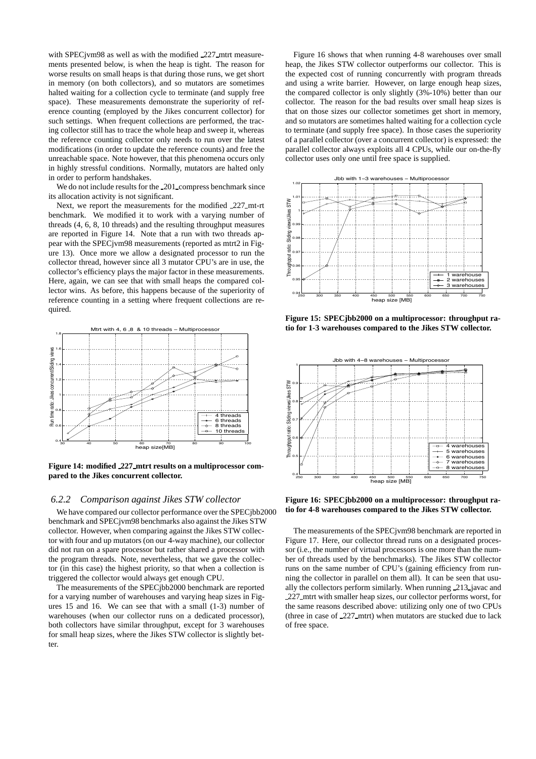with SPECjvm98 as well as with the modified 227 mtrt measurements presented below, is when the heap is tight. The reason for worse results on small heaps is that during those runs, we get short in memory (on both collectors), and so mutators are sometimes halted waiting for a collection cycle to terminate (and supply free space). These measurements demonstrate the superiority of reference counting (employed by the Jikes concurrent collector) for such settings. When frequent collections are performed, the tracing collector still has to trace the whole heap and sweep it, whereas the reference counting collector only needs to run over the latest modifications (in order to update the reference counts) and free the unreachable space. Note however, that this phenomena occurs only in highly stressful conditions. Normally, mutators are halted only in order to perform handshakes.

We do not include results for the 201 compress benchmark since its allocation activity is not significant.

Next, we report the measurements for the modified 227 mt-rt benchmark. We modified it to work with a varying number of threads (4, 6, 8, 10 threads) and the resulting throughput measures are reported in Figure 14. Note that a run with two threads appear with the SPECjvm98 measurements (reported as mtrt2 in Figure 13). Once more we allow a designated processor to run the collector thread, however since all 3 mutator CPU's are in use, the collector's efficiency plays the major factor in these measurements. Here, again, we can see that with small heaps the compared collector wins. As before, this happens because of the superiority of reference counting in a setting where frequent collections are required.



Figure 14: modified  $.227$  mtrt results on a multiprocessor com**pared to the Jikes concurrent collector.**

## *6.2.2 Comparison against Jikes STW collector*

We have compared our collector performance over the SPECibb2000 benchmark and SPECjvm98 benchmarks also against the Jikes STW collector. However, when comparing against the Jikes STW collector with four and up mutators (on our 4-way machine), our collector did not run on a spare processor but rather shared a processor with the program threads. Note, nevertheless, that we gave the collector (in this case) the highest priority, so that when a collection is triggered the collector would always get enough CPU.

The measurements of the SPECjbb2000 benchmark are reported for a varying number of warehouses and varying heap sizes in Figures 15 and 16. We can see that with a small (1-3) number of warehouses (when our collector runs on a dedicated processor), both collectors have similar throughput, except for 3 warehouses for small heap sizes, where the Jikes STW collector is slightly better.

Figure 16 shows that when running 4-8 warehouses over small heap, the Jikes STW collector outperforms our collector. This is the expected cost of running concurrently with program threads and using a write barrier. However, on large enough heap sizes, the compared collector is only slightly (3%-10%) better than our collector. The reason for the bad results over small heap sizes is that on those sizes our collector sometimes get short in memory, and so mutators are sometimes halted waiting for a collection cycle to terminate (and supply free space). In those cases the superiority of a parallel collector (over a concurrent collector) is expressed: the parallel collector always exploits all 4 CPUs, while our on-the-fly collector uses only one until free space is supplied.



**Figure 15: SPECjbb2000 on a multiprocessor: throughput ratio for 1-3 warehouses compared to the Jikes STW collector.**



**Figure 16: SPECjbb2000 on a multiprocessor: throughput ratio for 4-8 warehouses compared to the Jikes STW collector.**

The measurements of the SPECjvm98 benchmark are reported in Figure 17. Here, our collector thread runs on a designated processor (i.e., the number of virtual processors is one more than the number of threads used by the benchmarks). The Jikes STW collector runs on the same number of CPU's (gaining efficiency from running the collector in parallel on them all). It can be seen that usually the collectors perform similarly. When running 213 javac and 227 mtrt with smaller heap sizes, our collector performs worst, for the same reasons described above: utilizing only one of two CPUs (three in case of 227 mtrt) when mutators are stucked due to lack of free space.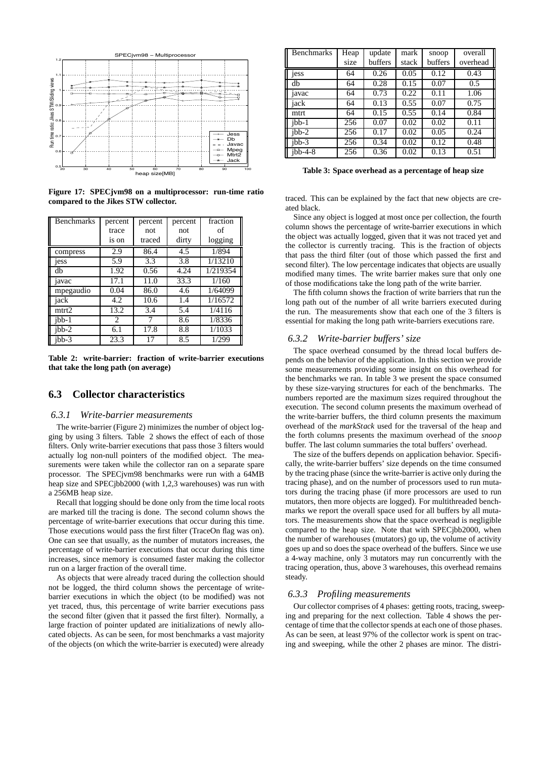

**Figure 17: SPECjvm98 on a multiprocessor: run-time ratio compared to the Jikes STW collector.**

| <b>Benchmarks</b> | percent | percent | percent | fraction |
|-------------------|---------|---------|---------|----------|
|                   | trace   | not     | not     | of       |
|                   | is on   | traced  | dirty   | logging  |
| compress          | 2.9     | 86.4    | 4.5     | 1/894    |
| jess              | 5.9     | 3.3     | 3.8     | 1/13210  |
| db                | 1.92    | 0.56    | 4.24    | 1/219354 |
| javac             | 17.1    | 11.0    | 33.3    | 1/160    |
| mpegaudio         | 0.04    | 86.0    | 4.6     | 1/64099  |
| jack              | 4.2     | 10.6    | 1.4     | 1/16572  |
| mtrt2             | 13.2    | 3.4     | 5.4     | 1/4116   |
| $ibb-1$           | 2       |         | 8.6     | 1/8336   |
| $ibb-2$           | 6.1     | 17.8    | 8.8     | 1/1033   |
| $ibb-3$           | 23.3    | 17      | 8.5     | 1/299    |

**Table 2: write-barrier: fraction of write-barrier executions that take the long path (on average)**

### **6.3 Collector characteristics**

#### *6.3.1 Write-barrier measurements*

The write-barrier (Figure 2) minimizes the number of object logging by using 3 filters. Table 2 shows the effect of each of those filters. Only write-barrier executions that pass those 3 filters would actually log non-null pointers of the modified object. The measurements were taken while the collector ran on a separate spare processor. The SPECjvm98 benchmarks were run with a 64MB heap size and SPECjbb2000 (with 1,2,3 warehouses) was run with a 256MB heap size.

Recall that logging should be done only from the time local roots are marked till the tracing is done. The second column shows the percentage of write-barrier executions that occur during this time. Those executions would pass the first filter (TraceOn flag was on). One can see that usually, as the number of mutators increases, the percentage of write-barrier executions that occur during this time increases, since memory is consumed faster making the collector run on a larger fraction of the overall time.

As objects that were already traced during the collection should not be logged, the third column shows the percentage of writebarrier executions in which the object (to be modified) was not yet traced, thus, this percentage of write barrier executions pass the second filter (given that it passed the first filter). Normally, a large fraction of pointer updated are initializations of newly allocated objects. As can be seen, for most benchmarks a vast majority of the objects (on which the write-barrier is executed) were already

| <b>Benchmarks</b> | Heap | update  | mark  | snoop   | overall  |
|-------------------|------|---------|-------|---------|----------|
|                   | size | buffers | stack | buffers | overhead |
| <sub>1</sub> ess  | 64   | 0.26    | 0.05  | 0.12    | 0.43     |
| db                | 64   | 0.28    | 0.15  | 0.07    | 0.5      |
| javac             | 64   | 0.73    | 0.22  | 0.11    | 1.06     |
| jack              | 64   | 0.13    | 0.55  | 0.07    | 0.75     |
| mtrt.             | 64   | 0.15    | 0.55  | 0.14    | 0.84     |
| $ibb-1$           | 256  | 0.07    | 0.02  | 0.02    | 0.11     |
| $ibb-2$           | 256  | 0.17    | 0.02  | 0.05    | 0.24     |
| $ibb-3$           | 256  | 0.34    | 0.02  | 0.12    | 0.48     |
| $ibb-4-8$         | 256  | 0.36    | 0.02  | 0.13    | 0.51     |

**Table 3: Space overhead as a percentage of heap size**

traced. This can be explained by the fact that new objects are created black.

Since any object is logged at most once per collection, the fourth column shows the percentage of write-barrier executions in which the object was actually logged, given that it was not traced yet and the collector is currently tracing. This is the fraction of objects that pass the third filter (out of those which passed the first and second filter). The low percentage indicates that objects are usually modified many times. The write barrier makes sure that only one of those modifications take the long path of the write barrier.

The fifth column shows the fraction of write barriers that run the long path out of the number of all write barriers executed during the run. The measurements show that each one of the 3 filters is essential for making the long path write-barriers executions rare.

#### *6.3.2 Write-barrier buffers' size*

The space overhead consumed by the thread local buffers depends on the behavior of the application. In this section we provide some measurements providing some insight on this overhead for the benchmarks we ran. In table 3 we present the space consumed by these size-varying structures for each of the benchmarks. The numbers reported are the maximum sizes required throughout the execution. The second column presents the maximum overhead of the write-barrier buffers, the third column presents the maximum overhead of the *markStack* used for the traversal of the heap and the forth columns presents the maximum overhead of the *snoop* buffer. The last column summaries the total buffers' overhead.

The size of the buffers depends on application behavior. Specifically, the write-barrier buffers' size depends on the time consumed by the tracing phase (since the write-barrier is active only during the tracing phase), and on the number of processors used to run mutators during the tracing phase (if more processors are used to run mutators, then more objects are logged). For multithreaded benchmarks we report the overall space used for all buffers by all mutators. The measurements show that the space overhead is negligible compared to the heap size. Note that with SPECjbb2000, when the number of warehouses (mutators) go up, the volume of activity goes up and so does the space overhead of the buffers. Since we use a 4-way machine, only 3 mutators may run concurrently with the tracing operation, thus, above 3 warehouses, this overhead remains steady.

### *6.3.3 Profiling measurements*

Our collector comprises of 4 phases: getting roots, tracing, sweeping and preparing for the next collection. Table 4 shows the percentage of time that the collector spends at each one of those phases. As can be seen, at least 97% of the collector work is spent on tracing and sweeping, while the other 2 phases are minor. The distri-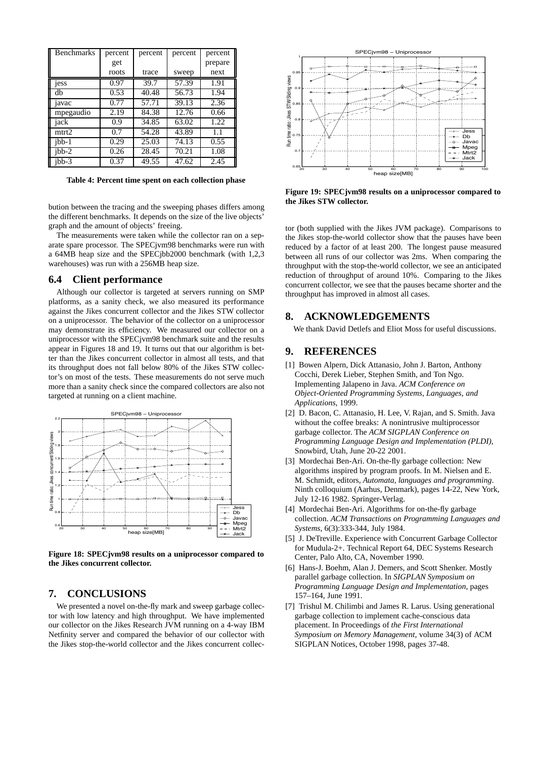| <b>Benchmarks</b> | percent | percent | percent | percent |
|-------------------|---------|---------|---------|---------|
|                   | get     |         |         | prepare |
|                   | roots   | trace   | sweep   | next    |
| <sub>1</sub> ess  | 0.97    | 39.7    | 57.39   | 1.91    |
| db                | 0.53    | 40.48   | 56.73   | 1.94    |
| javac             | 0.77    | 57.71   | 39.13   | 2.36    |
| mpegaudio         | 2.19    | 84.38   | 12.76   | 0.66    |
| jack              | 0.9     | 34.85   | 63.02   | 1.22    |
| $m$ trt $2$       | 0.7     | 54.28   | 43.89   | 1.1     |
| $ibb-1$           | 0.29    | 25.03   | 74.13   | 0.55    |
| $ibb-2$           | 0.26    | 28.45   | 70.21   | 1.08    |
| $ibb-3$           | 0.37    | 49.55   | 47.62   | 2.45    |

**Table 4: Percent time spent on each collection phase**

bution between the tracing and the sweeping phases differs among the different benchmarks. It depends on the size of the live objects' graph and the amount of objects' freeing.

The measurements were taken while the collector ran on a separate spare processor. The SPECjvm98 benchmarks were run with a 64MB heap size and the SPECjbb2000 benchmark (with 1,2,3 warehouses) was run with a 256MB heap size.

## **6.4 Client performance**

Although our collector is targeted at servers running on SMP platforms, as a sanity check, we also measured its performance against the Jikes concurrent collector and the Jikes STW collector on a uniprocessor. The behavior of the collector on a uniprocessor may demonstrate its efficiency. We measured our collector on a uniprocessor with the SPECjvm98 benchmark suite and the results appear in Figures 18 and 19. It turns out that our algorithm is better than the Jikes concurrent collector in almost all tests, and that its throughput does not fall below 80% of the Jikes STW collector's on most of the tests. These measurements do not serve much more than a sanity check since the compared collectors are also not targeted at running on a client machine.



**Figure 18: SPECjvm98 results on a uniprocessor compared to the Jikes concurrent collector.**

## **7. CONCLUSIONS**

We presented a novel on-the-fly mark and sweep garbage collector with low latency and high throughput. We have implemented our collector on the Jikes Research JVM running on a 4-way IBM Netfinity server and compared the behavior of our collector with the Jikes stop-the-world collector and the Jikes concurrent collec-



**Figure 19: SPECjvm98 results on a uniprocessor compared to the Jikes STW collector.**

tor (both supplied with the Jikes JVM package). Comparisons to the Jikes stop-the-world collector show that the pauses have been reduced by a factor of at least 200. The longest pause measured between all runs of our collector was 2ms. When comparing the throughput with the stop-the-world collector, we see an anticipated reduction of throughput of around 10%. Comparing to the Jikes concurrent collector, we see that the pauses became shorter and the throughput has improved in almost all cases.

### **8. ACKNOWLEDGEMENTS**

We thank David Detlefs and Eliot Moss for useful discussions.

## **9. REFERENCES**

- [1] Bowen Alpern, Dick Attanasio, John J. Barton, Anthony Cocchi, Derek Lieber, Stephen Smith, and Ton Ngo. Implementing Jalapeno in Java. *ACM Conference on Object-Oriented Programming Systems, Languages, and Applications*, 1999.
- [2] D. Bacon, C. Attanasio, H. Lee, V. Rajan, and S. Smith. Java without the coffee breaks: A nonintrusive multiprocessor garbage collector. The *ACM SIGPLAN Conference on Programming Language Design and Implementation (PLDI)*, Snowbird, Utah, June 20-22 2001.
- [3] Mordechai Ben-Ari. On-the-fly garbage collection: New algorithms inspired by program proofs. In M. Nielsen and E. M. Schmidt, editors, *Automata, languages and programming*. Ninth colloquium (Aarhus, Denmark), pages 14-22, New York, July 12-16 1982. Springer-Verlag.
- [4] Mordechai Ben-Ari. Algorithms for on-the-fly garbage collection. *ACM Transactions on Programming Languages and Systems*, 6(3):333-344, July 1984.
- [5] J. DeTreville. Experience with Concurrent Garbage Collector for Mudula-2+. Technical Report 64, DEC Systems Research Center, Palo Alto, CA, November 1990.
- [6] Hans-J. Boehm, Alan J. Demers, and Scott Shenker. Mostly parallel garbage collection. In *SIGPLAN Symposium on Programming Language Design and Implementation*, pages 157–164, June 1991.
- [7] Trishul M. Chilimbi and James R. Larus. Using generational garbage collection to implement cache-conscious data placement. In Proceedings of *the First International Symposium on Memory Management*, volume 34(3) of ACM SIGPLAN Notices, October 1998, pages 37-48.